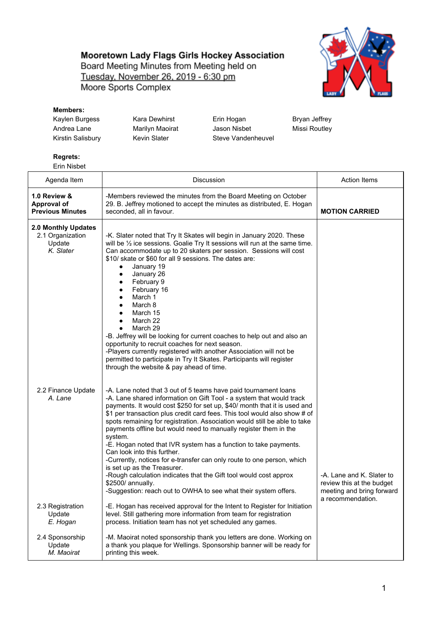## Mooretown Lady Flags Girls Hockey Association

Board Meeting Minutes from Meeting held on Tuesday, November 26, 2019 - 6:30 pm Moore Sports Complex



## **Members:**

| Kaylen Burgess    |  |
|-------------------|--|
| Andrea Lane       |  |
| Kirstin Salisbury |  |

Kara Dewhirst **Erin Hogan** Bryan Jeffrey Marilyn Maoirat **Jason Nisbet** Missi Routley Kevin Slater Steve Vandenheuvel

## **Regrets:**

Erin Nisbet

| Agenda Item                                                    | Discussion                                                                                                                                                                                                                                                                                                                                                                                                                                                                                                                                                                                                                                                                                                                                                                                                                             | <b>Action Items</b>                                                                 |
|----------------------------------------------------------------|----------------------------------------------------------------------------------------------------------------------------------------------------------------------------------------------------------------------------------------------------------------------------------------------------------------------------------------------------------------------------------------------------------------------------------------------------------------------------------------------------------------------------------------------------------------------------------------------------------------------------------------------------------------------------------------------------------------------------------------------------------------------------------------------------------------------------------------|-------------------------------------------------------------------------------------|
| 1.0 Review &<br>Approval of<br><b>Previous Minutes</b>         | -Members reviewed the minutes from the Board Meeting on October<br>29. B. Jeffrey motioned to accept the minutes as distributed, E. Hogan<br>seconded, all in favour.                                                                                                                                                                                                                                                                                                                                                                                                                                                                                                                                                                                                                                                                  | <b>MOTION CARRIED</b>                                                               |
| 2.0 Monthly Updates<br>2.1 Organization<br>Update<br>K. Slater | -K. Slater noted that Try It Skates will begin in January 2020. These<br>will be $\frac{1}{2}$ ice sessions. Goalie Try It sessions will run at the same time.<br>Can accommodate up to 20 skaters per session. Sessions will cost<br>\$10/ skate or \$60 for all 9 sessions. The dates are:<br>January 19<br>$\bullet$<br>January 26<br>$\bullet$<br>February 9<br>٠<br>February 16<br>March 1<br>March 8<br>March 15<br>March 22<br>March 29<br>$\bullet$<br>-B. Jeffrey will be looking for current coaches to help out and also an<br>opportunity to recruit coaches for next season.<br>-Players currently registered with another Association will not be<br>permitted to participate in Try It Skates. Participants will register<br>through the website & pay ahead of time.                                                   |                                                                                     |
| 2.2 Finance Update<br>A. Lane                                  | -A. Lane noted that 3 out of 5 teams have paid tournament loans<br>-A. Lane shared information on Gift Tool - a system that would track<br>payments. It would cost \$250 for set up, \$40/ month that it is used and<br>\$1 per transaction plus credit card fees. This tool would also show # of<br>spots remaining for registration. Association would still be able to take<br>payments offline but would need to manually register them in the<br>system.<br>-E. Hogan noted that IVR system has a function to take payments.<br>Can look into this further.<br>-Currently, notices for e-transfer can only route to one person, which<br>is set up as the Treasurer.<br>-Rough calculation indicates that the Gift tool would cost approx<br>\$2500/ annually.<br>-Suggestion: reach out to OWHA to see what their system offers. | -A. Lane and K. Slater to<br>review this at the budget<br>meeting and bring forward |
| 2.3 Registration<br>Update<br>E. Hogan                         | -E. Hogan has received approval for the Intent to Register for Initiation<br>level. Still gathering more information from team for registration<br>process. Initiation team has not yet scheduled any games.                                                                                                                                                                                                                                                                                                                                                                                                                                                                                                                                                                                                                           | a recommendation.                                                                   |
| 2.4 Sponsorship<br>Update<br>M. Maoirat                        | -M. Maoirat noted sponsorship thank you letters are done. Working on<br>a thank you plaque for Wellings. Sponsorship banner will be ready for<br>printing this week.                                                                                                                                                                                                                                                                                                                                                                                                                                                                                                                                                                                                                                                                   |                                                                                     |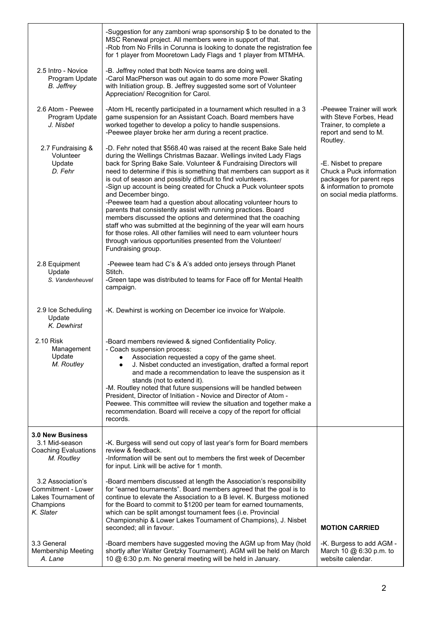| 2.5 Intro - Novice<br>Program Update<br><b>B.</b> Jeffrey                                | -Suggestion for any zamboni wrap sponsorship \$ to be donated to the<br>MSC Renewal project. All members were in support of that.<br>-Rob from No Frills in Corunna is looking to donate the registration fee<br>for 1 player from Mooretown Lady Flags and 1 player from MTMHA.<br>-B. Jeffrey noted that both Novice teams are doing well.<br>-Carol MacPherson was out again to do some more Power Skating<br>with Initiation group. B. Jeffrey suggested some sort of Volunteer<br>Appreciation/ Recognition for Carol.                                                                                                                                                                                                                                                                                                                                                                      |                                                                                                                                                     |
|------------------------------------------------------------------------------------------|--------------------------------------------------------------------------------------------------------------------------------------------------------------------------------------------------------------------------------------------------------------------------------------------------------------------------------------------------------------------------------------------------------------------------------------------------------------------------------------------------------------------------------------------------------------------------------------------------------------------------------------------------------------------------------------------------------------------------------------------------------------------------------------------------------------------------------------------------------------------------------------------------|-----------------------------------------------------------------------------------------------------------------------------------------------------|
| 2.6 Atom - Peewee<br>Program Update<br>J. Nisbet                                         | -Atom HL recently participated in a tournament which resulted in a 3<br>game suspension for an Assistant Coach. Board members have<br>worked together to develop a policy to handle suspensions.<br>-Peewee player broke her arm during a recent practice.                                                                                                                                                                                                                                                                                                                                                                                                                                                                                                                                                                                                                                       | -Peewee Trainer will work<br>with Steve Forbes, Head<br>Trainer, to complete a<br>report and send to M.                                             |
| 2.7 Fundraising &<br>Volunteer<br>Update<br>D. Fehr                                      | -D. Fehr noted that \$568.40 was raised at the recent Bake Sale held<br>during the Wellings Christmas Bazaar. Wellings invited Lady Flags<br>back for Spring Bake Sale. Volunteer & Fundraising Directors will<br>need to determine if this is something that members can support as it<br>is out of season and possibly difficult to find volunteers.<br>-Sign up account is being created for Chuck a Puck volunteer spots<br>and December bingo.<br>-Peewee team had a question about allocating volunteer hours to<br>parents that consistently assist with running practices. Board<br>members discussed the options and determined that the coaching<br>staff who was submitted at the beginning of the year will earn hours<br>for those roles. All other families will need to earn volunteer hours<br>through various opportunities presented from the Volunteer/<br>Fundraising group. | Routley.<br>-E. Nisbet to prepare<br>Chuck a Puck information<br>packages for parent reps<br>& information to promote<br>on social media platforms. |
| 2.8 Equipment<br>Update<br>S. Vandenheuvel                                               | -Peewee team had C's & A's added onto jerseys through Planet<br>Stitch.<br>-Green tape was distributed to teams for Face off for Mental Health<br>campaign.                                                                                                                                                                                                                                                                                                                                                                                                                                                                                                                                                                                                                                                                                                                                      |                                                                                                                                                     |
| 2.9 Ice Scheduling<br>Update<br>K. Dewhirst                                              | -K. Dewhirst is working on December ice invoice for Walpole.                                                                                                                                                                                                                                                                                                                                                                                                                                                                                                                                                                                                                                                                                                                                                                                                                                     |                                                                                                                                                     |
| 2.10 Risk<br>Management<br>Update<br>M. Routley                                          | -Board members reviewed & signed Confidentiality Policy.<br>- Coach suspension process:<br>Association requested a copy of the game sheet.<br>J. Nisbet conducted an investigation, drafted a formal report<br>and made a recommendation to leave the suspension as it<br>stands (not to extend it).<br>-M. Routley noted that future suspensions will be handled between<br>President, Director of Initiation - Novice and Director of Atom -<br>Peewee. This committee will review the situation and together make a<br>recommendation. Board will receive a copy of the report for official<br>records.                                                                                                                                                                                                                                                                                       |                                                                                                                                                     |
| <b>3.0 New Business</b><br>3.1 Mid-season<br><b>Coaching Evaluations</b><br>M. Routley   | -K. Burgess will send out copy of last year's form for Board members<br>review & feedback.<br>-Information will be sent out to members the first week of December<br>for input. Link will be active for 1 month.                                                                                                                                                                                                                                                                                                                                                                                                                                                                                                                                                                                                                                                                                 |                                                                                                                                                     |
| 3.2 Association's<br>Commitment - Lower<br>Lakes Tournament of<br>Champions<br>K. Slater | -Board members discussed at length the Association's responsibility<br>for "earned tournaments". Board members agreed that the goal is to<br>continue to elevate the Association to a B level. K. Burgess motioned<br>for the Board to commit to \$1200 per team for earned tournaments,<br>which can be split amongst tournament fees (i.e. Provincial<br>Championship & Lower Lakes Tournament of Champions), J. Nisbet<br>seconded; all in favour.                                                                                                                                                                                                                                                                                                                                                                                                                                            | <b>MOTION CARRIED</b>                                                                                                                               |
| 3.3 General<br><b>Membership Meeting</b><br>A. Lane                                      | -Board members have suggested moving the AGM up from May (hold<br>shortly after Walter Gretzky Tournament). AGM will be held on March<br>10 @ 6:30 p.m. No general meeting will be held in January.                                                                                                                                                                                                                                                                                                                                                                                                                                                                                                                                                                                                                                                                                              | -K. Burgess to add AGM -<br>March 10 @ 6:30 p.m. to<br>website calendar.                                                                            |